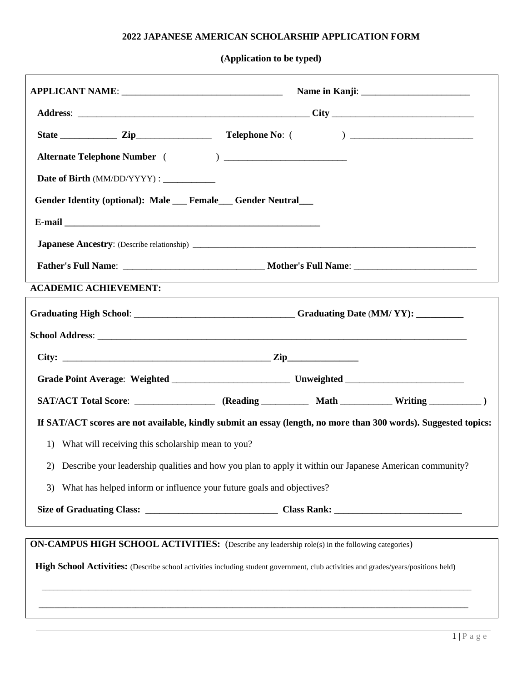## **2022 JAPANESE AMERICAN SCHOLARSHIP APPLICATION FORM**

**(Application to be typed)**

| Date of Birth (MM/DD/YYYY) : _____________                                                                                         |  |  |  |  |
|------------------------------------------------------------------------------------------------------------------------------------|--|--|--|--|
| Gender Identity (optional): Male Female Gender Neutral                                                                             |  |  |  |  |
|                                                                                                                                    |  |  |  |  |
|                                                                                                                                    |  |  |  |  |
| <b>Father's Full Name:</b> Mother's Full Name: Mother's Full Name:                                                                 |  |  |  |  |
| <b>ACADEMIC ACHIEVEMENT:</b>                                                                                                       |  |  |  |  |
|                                                                                                                                    |  |  |  |  |
|                                                                                                                                    |  |  |  |  |
|                                                                                                                                    |  |  |  |  |
|                                                                                                                                    |  |  |  |  |
| SAT/ACT Total Score: __________________ (Reading ____________ Math _____________ Writing ___________ )                             |  |  |  |  |
| If SAT/ACT scores are not available, kindly submit an essay (length, no more than 300 words). Suggested topics:                    |  |  |  |  |
| What will receiving this scholarship mean to you?<br>$\left( \right)$                                                              |  |  |  |  |
| Describe your leadership qualities and how you plan to apply it within our Japanese American community?<br>2)                      |  |  |  |  |
| What has helped inform or influence your future goals and objectives?<br>3)                                                        |  |  |  |  |
|                                                                                                                                    |  |  |  |  |
| <b>ON-CAMPUS HIGH SCHOOL ACTIVITIES:</b> (Describe any leadership role(s) in the following categories)                             |  |  |  |  |
| High School Activities: (Describe school activities including student government, club activities and grades/years/positions held) |  |  |  |  |

 $\overline{\phantom{a}}$  ,  $\overline{\phantom{a}}$  ,  $\overline{\phantom{a}}$  ,  $\overline{\phantom{a}}$  ,  $\overline{\phantom{a}}$  ,  $\overline{\phantom{a}}$  ,  $\overline{\phantom{a}}$  ,  $\overline{\phantom{a}}$  ,  $\overline{\phantom{a}}$  ,  $\overline{\phantom{a}}$  ,  $\overline{\phantom{a}}$  ,  $\overline{\phantom{a}}$  ,  $\overline{\phantom{a}}$  ,  $\overline{\phantom{a}}$  ,  $\overline{\phantom{a}}$  ,  $\overline{\phantom{a}}$ 

\_\_\_\_\_\_\_\_\_\_\_\_\_\_\_\_\_\_\_\_\_\_\_\_\_\_\_\_\_\_\_\_\_\_\_\_\_\_\_\_\_\_\_\_\_\_\_\_\_\_\_\_\_\_\_\_\_\_\_\_\_\_\_\_\_\_\_\_\_\_\_\_\_\_\_\_\_\_\_\_\_\_\_\_\_\_\_\_\_\_\_\_\_\_\_\_\_\_\_\_\_\_\_\_\_\_\_\_\_\_\_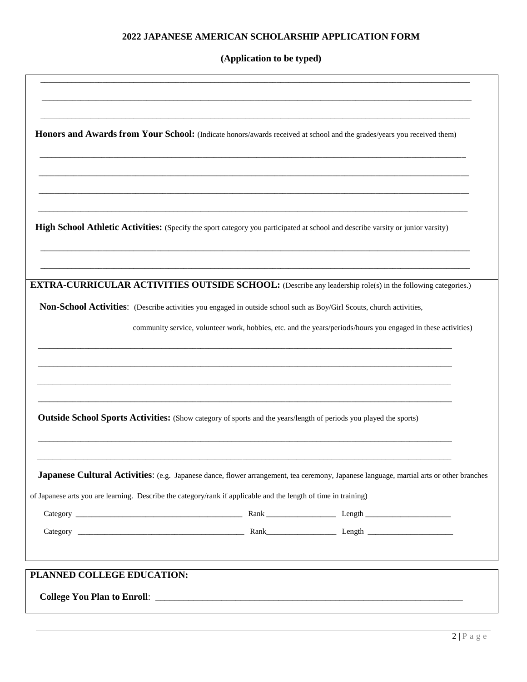## **2022 JAPANESE AMERICAN SCHOLARSHIP APPLICATION FORM**

**(Application to be typed)**

| PLANNED COLLEGE EDUCATION: |                                                                                                                                                |  |
|----------------------------|------------------------------------------------------------------------------------------------------------------------------------------------|--|
|                            |                                                                                                                                                |  |
|                            |                                                                                                                                                |  |
|                            | of Japanese arts you are learning. Describe the category/rank if applicable and the length of time in training)                                |  |
|                            | <b>Japanese Cultural Activities:</b> (e.g. Japanese dance, flower arrangement, tea ceremony, Japanese language, martial arts or other branches |  |
|                            | <b>Outside School Sports Activities:</b> (Show category of sports and the years/length of periods you played the sports)                       |  |
|                            |                                                                                                                                                |  |
|                            |                                                                                                                                                |  |
|                            | community service, volunteer work, hobbies, etc. and the years/periods/hours you engaged in these activities)                                  |  |
|                            | Non-School Activities: (Describe activities you engaged in outside school such as Boy/Girl Scouts, church activities,                          |  |
|                            | <b>EXTRA-CURRICULAR ACTIVITIES OUTSIDE SCHOOL:</b> (Describe any leadership role(s) in the following categories.)                              |  |
|                            |                                                                                                                                                |  |
|                            | High School Athletic Activities: (Specify the sport category you participated at school and describe varsity or junior varsity)                |  |
|                            |                                                                                                                                                |  |
|                            |                                                                                                                                                |  |
|                            | Honors and Awards from Your School: (Indicate honors/awards received at school and the grades/years you received them)                         |  |
|                            |                                                                                                                                                |  |
|                            |                                                                                                                                                |  |